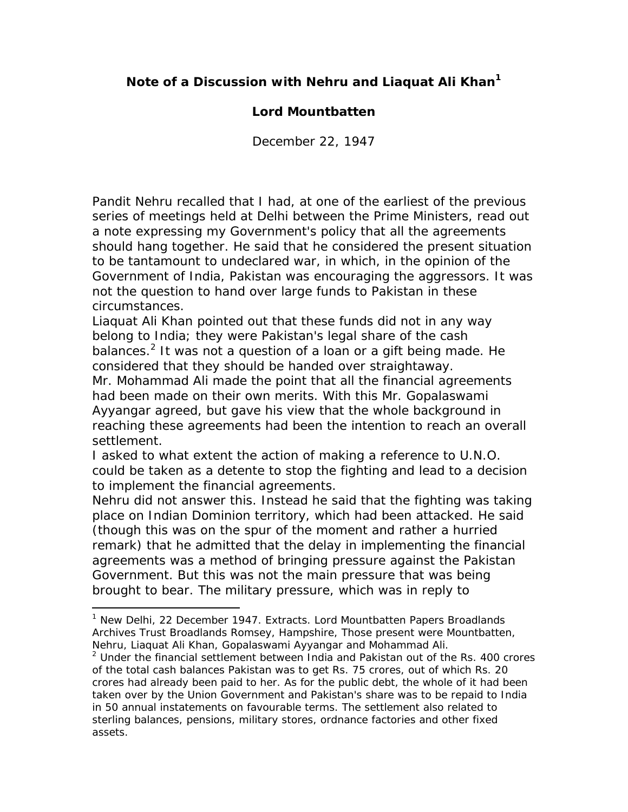### **Note of a Discussion with Nehru and Liaquat Ali Khan1**

#### **Lord Mountbatten**

*December 22, 1947* 

Pandit Nehru recalled that I had, at one of the earliest of the previous series of meetings held at Delhi between the Prime Ministers, read out a note expressing my Government's policy that all the agreements should hang together. He said that he considered the present situation to be tantamount to undeclared war, in which, in the opinion of the Government of India, Pakistan was encouraging the aggressors. It was not the question to hand over large funds to Pakistan in these circumstances.

Liaquat Ali Khan pointed out that these funds did not in any way belong to India; they were Pakistan's legal share of the cash balances.<sup>2</sup> It was not a question of a loan or a gift being made. He considered that they should be handed over straightaway.

Mr. Mohammad Ali made the point that all the financial agreements had been made on their own merits. With this Mr. Gopalaswami Ayyangar agreed, but gave his view that the whole background in reaching these agreements had been the intention to reach an overall settlement.

I asked to what extent the action of making a reference to U.N.O. could be taken as a detente to stop the fighting and lead to a decision to implement the financial agreements.

Nehru did not answer this. Instead he said that the fighting was taking place on Indian Dominion territory, which had been attacked. He said (though this was on the spur of the moment and rather a hurried remark) that he admitted that the delay in implementing the financial agreements was a method of bringing pressure against the Pakistan Government. But this was not the main pressure that was being brought to bear. The military pressure, which was in reply to

<sup>&</sup>lt;sup>1</sup> New Delhi, 22 December 1947. Extracts. Lord Mountbatten Papers Broadlands Archives Trust Broadlands Romsey, Hampshire, Those present were Mountbatten, Nehru, Liaquat Ali Khan, Gopalaswami Ayyangar and Mohammad Ali.

<sup>&</sup>lt;sup>2</sup> Under the financial settlement between India and Pakistan out of the Rs. 400 crores of the total cash balances Pakistan was to get Rs. 75 crores, out of which Rs. 20 crores had already been paid to her. As for the public debt, the whole of it had been taken over by the Union Government and Pakistan's share was to be repaid to India in 50 annual instatements on favourable terms. The settlement also related to sterling balances, pensions, military stores, ordnance factories and other fixed assets.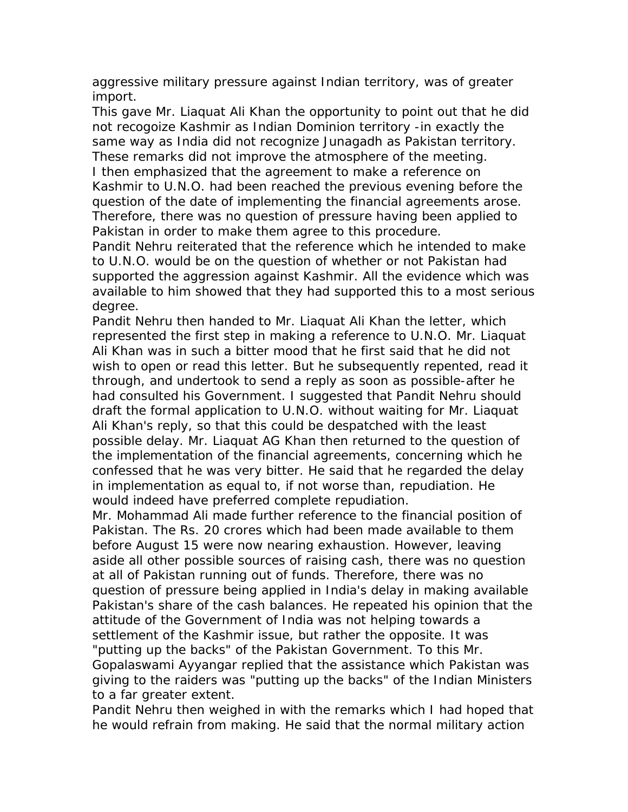aggressive military pressure against Indian territory, was of greater import.

This gave Mr. Liaquat Ali Khan the opportunity to point out that he did not recogoize Kashmir as Indian Dominion territory -in exactly the same way as India did not recognize Junagadh as Pakistan territory. These remarks did not improve the atmosphere of the meeting. I then emphasized that the agreement to make a reference on Kashmir to U.N.O. had been reached the previous evening before the question of the date of implementing the financial agreements arose. Therefore, there was no question of pressure having been applied to Pakistan in order to make them agree to this procedure.

Pandit Nehru reiterated that the reference which he intended to make to U.N.O. would be on the question of whether or not Pakistan had supported the aggression against Kashmir. All the evidence which was available to him showed that they had supported this to a most serious degree.

Pandit Nehru then handed to Mr. Liaquat Ali Khan the letter, which represented the first step in making a reference to U.N.O. Mr. Liaquat Ali Khan was in such a bitter mood that he first said that he did not wish to open or read this letter. But he subsequently repented, read it through, and undertook to send a reply as soon as possible-after he had consulted his Government. I suggested that Pandit Nehru should draft the formal application to U.N.O. without waiting for Mr. Liaquat Ali Khan's reply, so that this could be despatched with the least possible delay. Mr. Liaquat AG Khan then returned to the question of the implementation of the financial agreements, concerning which he confessed that he was very bitter. He said that he regarded the delay in implementation as equal to, if not worse than, repudiation. He would indeed have preferred complete repudiation.

Mr. Mohammad Ali made further reference to the financial position of Pakistan. The Rs. 20 crores which had been made available to them before August 15 were now nearing exhaustion. However, leaving aside all other possible sources of raising cash, there was no question at all of Pakistan running out of funds. Therefore, there was no question of pressure being applied in India's delay in making available Pakistan's share of the cash balances. He repeated his opinion that the attitude of the Government of India was not helping towards a settlement of the Kashmir issue, but rather the opposite. It was "putting up the backs" of the Pakistan Government. To this Mr. Gopalaswami Ayyangar replied that the assistance which Pakistan was giving to the raiders was "putting up the backs" of the Indian Ministers to a far greater extent.

Pandit Nehru then weighed in with the remarks which I had hoped that he would refrain from making. He said that the normal military action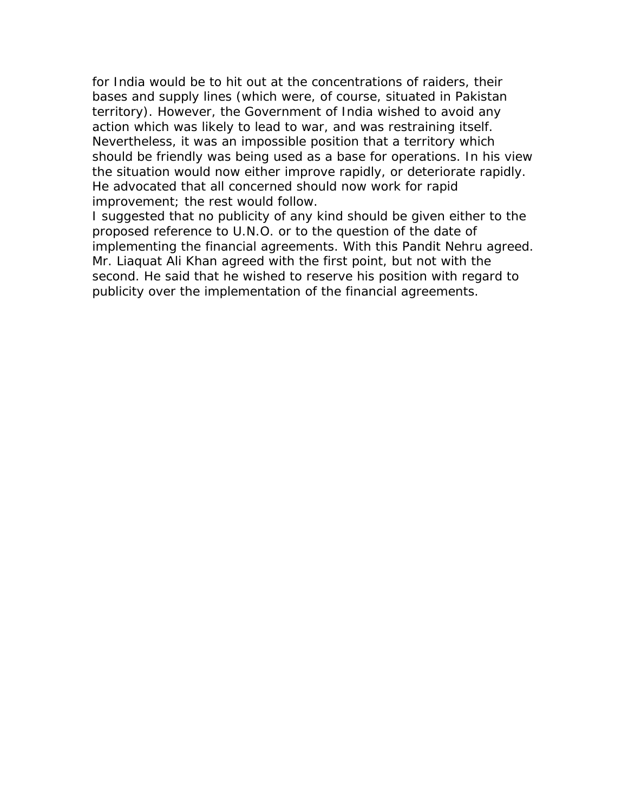for India would be to hit out at the concentrations of raiders, their bases and supply lines (which were, of course, situated in Pakistan territory). However, the Government of India wished to avoid any action which was likely to lead to war, and was restraining itself. Nevertheless, it was an impossible position that a territory which should be friendly was being used as a base for operations. In his view the situation would now either improve rapidly, or deteriorate rapidly. He advocated that all concerned should now work for rapid improvement; the rest would follow.

I suggested that no publicity of any kind should be given either to the proposed reference to U.N.O. or to the question of the date of implementing the financial agreements. With this Pandit Nehru agreed. Mr. Liaquat Ali Khan agreed with the first point, but not with the second. He said that he wished to reserve his position with regard to publicity over the implementation of the financial agreements.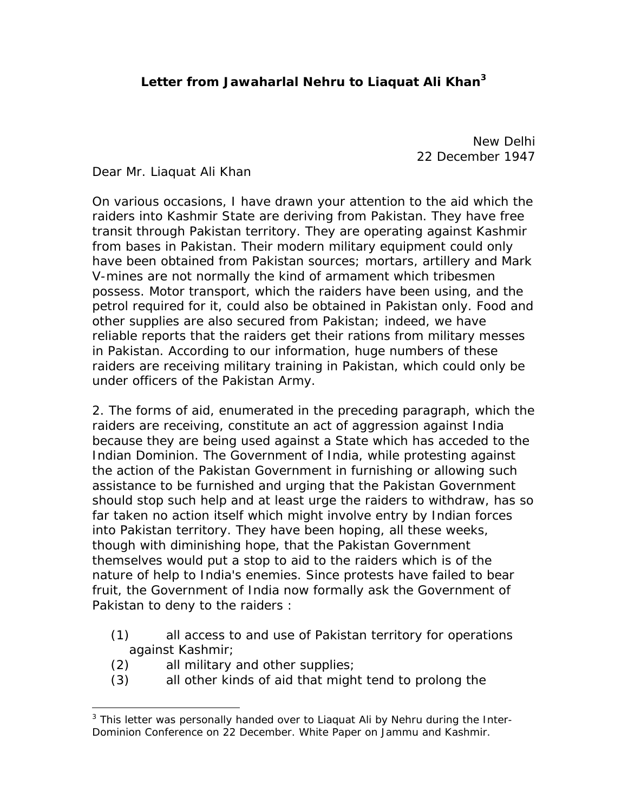## **Letter from Jawaharlal Nehru to Liaquat Ali Khan3**

New Delhi 22 December 1947

Dear Mr. Liaquat Ali Khan

On various occasions, I have drawn your attention to the aid which the raiders into Kashmir State are deriving from Pakistan. They have free transit through Pakistan territory. They are operating against Kashmir from bases in Pakistan. Their modern military equipment could only have been obtained from Pakistan sources; mortars, artillery and Mark V-mines are not normally the kind of armament which tribesmen possess. Motor transport, which the raiders have been using, and the petrol required for it, could also be obtained in Pakistan only. Food and other supplies are also secured from Pakistan; indeed, we have reliable reports that the raiders get their rations from military messes in Pakistan. According to our information, huge numbers of these raiders are receiving military training in Pakistan, which could only be under officers of the Pakistan Army.

2. The forms of aid, enumerated in the preceding paragraph, which the raiders are receiving, constitute an act of aggression against India because they are being used against a State which has acceded to the Indian Dominion. The Government of India, while protesting against the action of the Pakistan Government in furnishing or allowing such assistance to be furnished and urging that the Pakistan Government should stop such help and at least urge the raiders to withdraw, has so far taken no action itself which might involve entry by Indian forces into Pakistan territory. They have been hoping, all these weeks, though with diminishing hope, that the Pakistan Government themselves would put a stop to aid to the raiders which is of the nature of help to India's enemies. Since protests have failed to bear fruit, the Government of India now formally ask the Government of Pakistan to deny to the raiders :

- (1) all access to and use of Pakistan territory for operations against Kashmir;
- (2) all military and other supplies;

<u>.</u>

(3) all other kinds of aid that might tend to prolong the

<sup>&</sup>lt;sup>3</sup> This letter was personally handed over to Liaquat Ali by Nehru during the Inter-Dominion Conference on 22 December. White Paper on Jammu and Kashmir.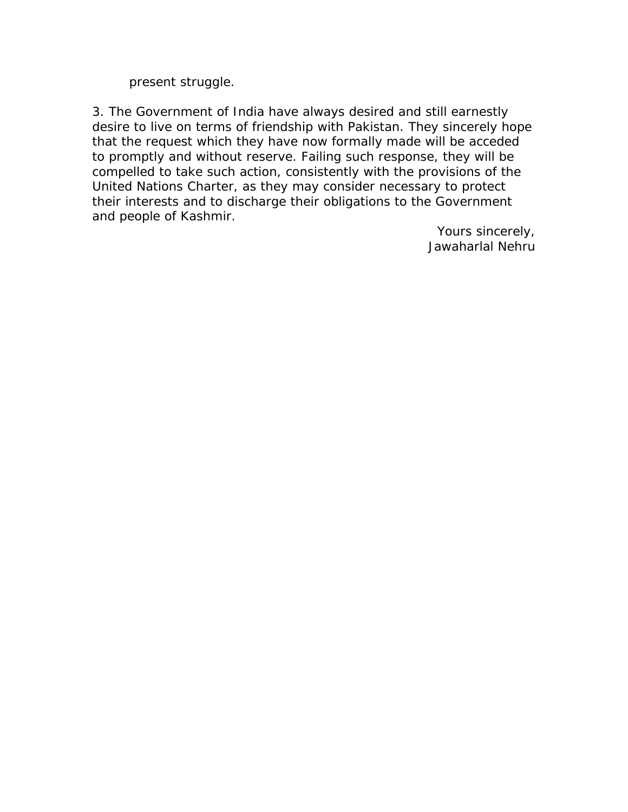present struggle.

3. The Government of India have always desired and still earnestly desire to live on terms of friendship with Pakistan. They sincerely hope that the request which they have now formally made will be acceded to promptly and without reserve. Failing such response, they will be compelled to take such action, consistently with the provisions of the United Nations Charter, as they may consider necessary to protect their interests and to discharge their obligations to the Government and people of Kashmir.

> Yours sincerely, Jawaharlal Nehru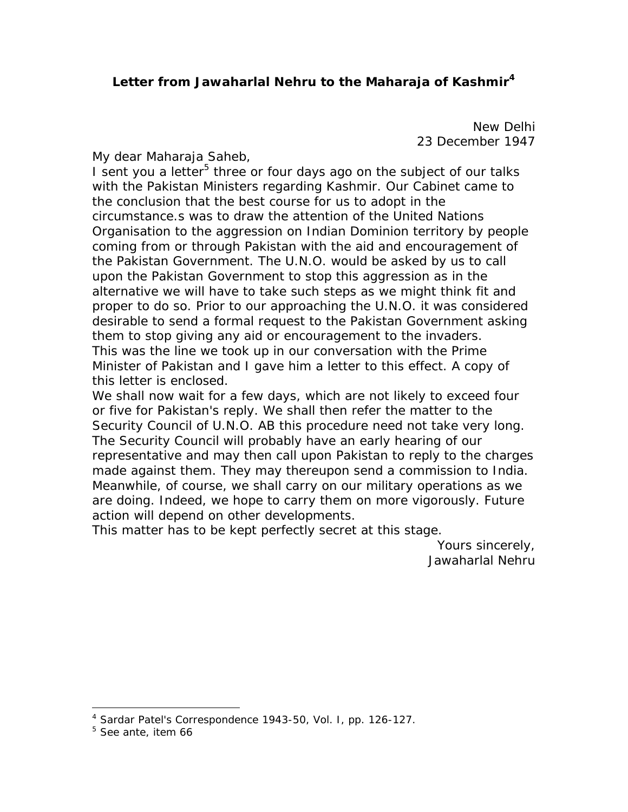#### **Letter from Jawaharlal Nehru to the Maharaja of Kashmir<sup>4</sup>**

New Delhi 23 December 1947

My dear Maharaja Saheb,

I sent you a letter<sup>5</sup> three or four days ago on the subject of our talks with the Pakistan Ministers regarding Kashmir. Our Cabinet came to the conclusion that the best course for us to adopt in the circumstance.s was to draw the attention of the United Nations Organisation to the aggression on Indian Dominion territory by people coming from or through Pakistan with the aid and encouragement of the Pakistan Government. The U.N.O. would be asked by us to call upon the Pakistan Government to stop this aggression as in the alternative we will have to take such steps as we might think fit and proper to do so. Prior to our approaching the U.N.O. it was considered desirable to send a formal request to the Pakistan Government asking them to stop giving any aid or encouragement to the invaders. This was the line we took up in our conversation with the Prime Minister of Pakistan and I gave him a letter to this effect. A copy of this letter is enclosed.

We shall now wait for a few days, which are not likely to exceed four or five for Pakistan's reply. We shall then refer the matter to the Security Council of U.N.O. AB this procedure need not take very long. The Security Council will probably have an early hearing of our representative and may then call upon Pakistan to reply to the charges made against them. They may thereupon send a commission to India. Meanwhile, of course, we shall carry on our military operations as we are doing. Indeed, we hope to carry them on more vigorously. Future action will depend on other developments.

This matter has to be kept perfectly secret at this stage.

Yours sincerely, Jawaharlal Nehru

<sup>4</sup> Sardar Patel's Correspondence 1943-50, Vol. I, pp. 126-127.

<sup>5</sup> See *ante*, item 66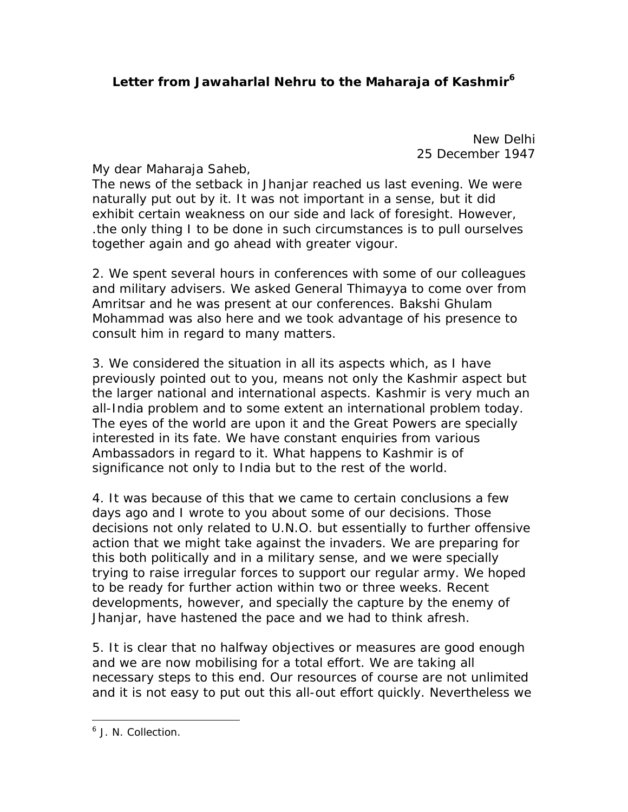New Delhi 25 December 1947

My dear Maharaja Saheb,

The news of the setback in Jhanjar reached us last evening. We were naturally put out by it. It was not important in a sense, but it did exhibit certain weakness on our side and lack of foresight. However, .the only thing I to be done in such circumstances is to pull ourselves together again and go ahead with greater vigour.

2. We spent several hours in conferences with some of our colleagues and military advisers. We asked General Thimayya to come over from Amritsar and he was present at our conferences. Bakshi Ghulam Mohammad was also here and we took advantage of his presence to consult him in regard to many matters.

3. We considered the situation in all its aspects which, as I have previously pointed out to you, means not only the Kashmir aspect but the larger national and international aspects. Kashmir is very much an all-India problem and to some extent an international problem today. The eyes of the world are upon it and the Great Powers are specially interested in its fate. We have constant enquiries from various Ambassadors in regard to it. What happens to Kashmir is of significance not only to India but to the rest of the world.

4. It was because of this that we came to certain conclusions a few days ago and I wrote to you about some of our decisions. Those decisions not only related to U.N.O. but essentially to further offensive action that we might take against the invaders. We are preparing for this both politically and in a military sense, and we were specially trying to raise irregular forces to support our regular army. We hoped to be ready for further action within two or three weeks. Recent developments, however, and specially the capture by the enemy of Jhanjar, have hastened the pace and we had to think afresh.

5. It is clear that no halfway objectives or measures are good enough and we are now mobilising for a total effort. We are taking all necessary steps to this end. Our resources of course are not unlimited and it is not easy to put out this all-out effort quickly. Nevertheless we

1

<sup>&</sup>lt;sup>6</sup> J. N. Collection.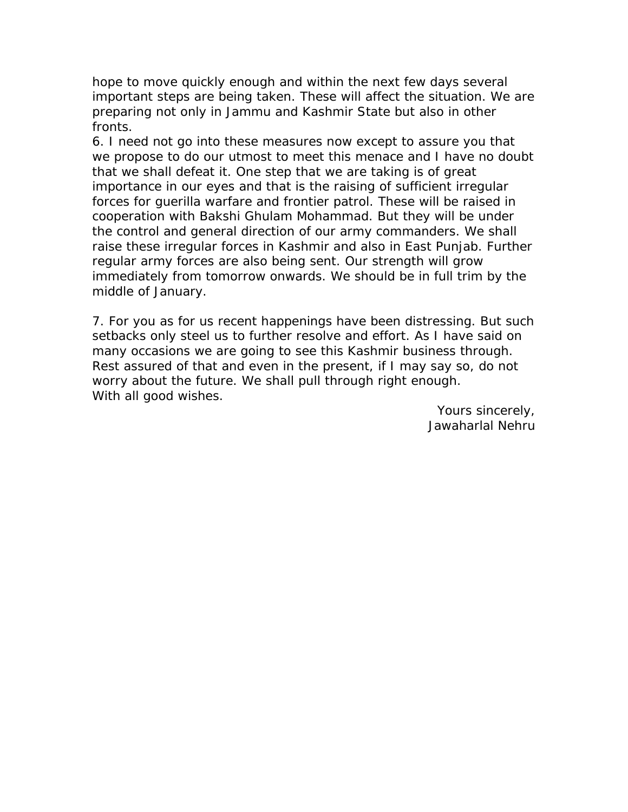hope to move quickly enough and within the next few days several important steps are being taken. These will affect the situation. We are preparing not only in Jammu and Kashmir State but also in other fronts.

6. I need not go into these measures now except to assure you that we propose to do our utmost to meet this menace and I have no doubt that we shall defeat it. One step that we are taking is of great importance in our eyes and that is the raising of sufficient irregular forces for guerilla warfare and frontier patrol. These will be raised in cooperation with Bakshi Ghulam Mohammad. But they will be under the control and general direction of our army commanders. We shall raise these irregular forces in Kashmir and also in East Punjab. Further regular army forces are also being sent. Our strength will grow immediately from tomorrow onwards. We should be in full trim by the middle of January.

7. For you as for us recent happenings have been distressing. But such setbacks only steel us to further resolve and effort. As I have said on many occasions we are going to see this Kashmir business through. Rest assured of that and even in the present, if I may say so, do not worry about the future. We shall pull through right enough. With all good wishes.

> Yours sincerely, Jawaharlal Nehru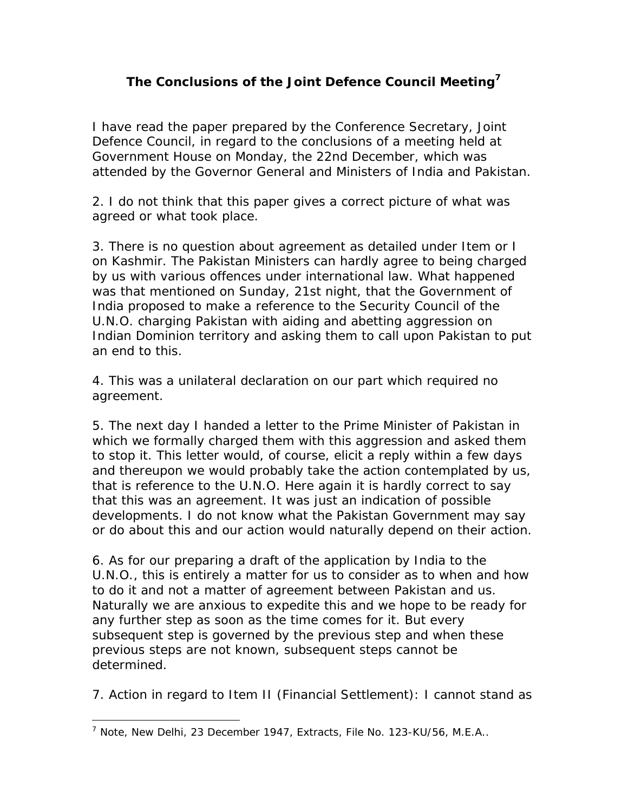## **The Conclusions of the Joint Defence Council Meeting<sup>7</sup>**

I have read the paper prepared by the Conference Secretary, Joint Defence Council, in regard to the conclusions of a meeting held at Government House on Monday, the 22nd December, which was attended by the Governor General and Ministers of India and Pakistan.

2. I do not think that this paper gives a correct picture of what was agreed or what took place.

3. There is no question about agreement as detailed under Item or I on Kashmir. The Pakistan Ministers can hardly agree to being charged by us with various offences under international law. What happened was that mentioned on Sunday, 21st night, that the Government of India proposed to make a reference to the Security Council of the U.N.O. charging Pakistan with aiding and abetting aggression on Indian Dominion territory and asking them to call upon Pakistan to put an end to this.

4. This was a unilateral declaration on our part which required no agreement.

5. The next day I handed a letter to the Prime Minister of Pakistan in which we formally charged them with this aggression and asked them to stop it. This letter would, of course, elicit a reply within a few days and thereupon we would probably take the action contemplated by us, that is reference to the U.N.O. Here again it is hardly correct to say that this was an agreement. It was just an indication of possible developments. I do not know what the Pakistan Government may say or do about this and our action would naturally depend on their action.

6. As for our preparing a draft of the application by India to the U.N.O., this is entirely a matter for us to consider as to when and how to do it and not a matter of agreement between Pakistan and us. Naturally we are anxious to expedite this and we hope to be ready for any further step as soon as the time comes for it. But every subsequent step is governed by the previous step and when these previous steps are not known, subsequent steps cannot be determined.

7. Action in regard to Item II (Financial Settlement): I cannot stand as

<sup>&</sup>lt;sup>7</sup> Note, New Delhi, 23 December 1947, Extracts, File No. 123-KU/56, M.E.A..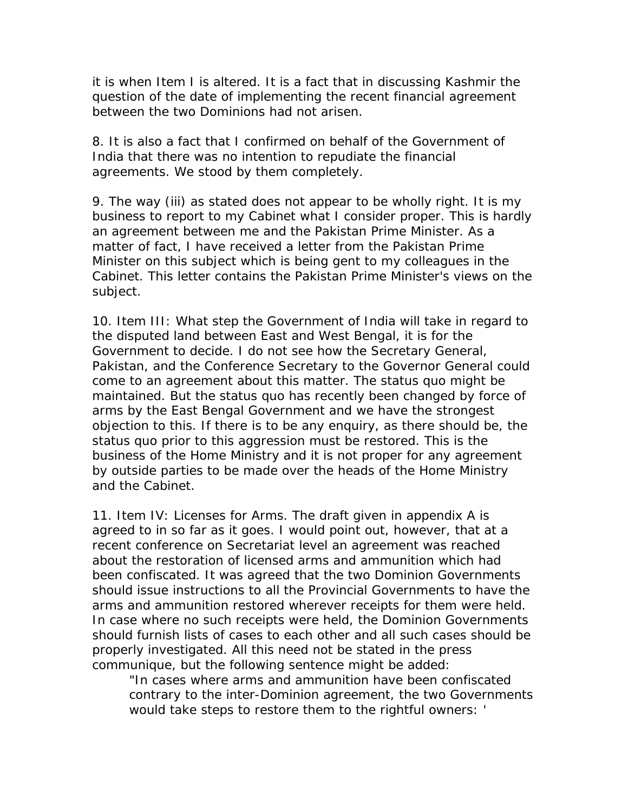it is when Item I is altered. It is a fact that in discussing Kashmir the question of the date of implementing the recent financial agreement between the two Dominions had not arisen.

8. It is also a fact that I confirmed on behalf of the Government of India that there was no intention to repudiate the financial agreements. We stood by them completely.

9. The way (iii) as stated does not appear to be wholly right. It is my business to report to my Cabinet what I consider proper. This is hardly an agreement between me and the Pakistan Prime Minister. As a matter of fact, I have received a letter from the Pakistan Prime Minister on this subject which is being gent to my colleagues in the Cabinet. This letter contains the Pakistan Prime Minister's views on the subject.

10. Item III: What step the Government of India will take in regard to the disputed land between East and West Bengal, it is for the Government to decide. I do not see how the Secretary General, Pakistan, and the Conference Secretary to the Governor General could come to an agreement about this matter. The status quo might be maintained. But the status quo has recently been changed by force of arms by the East Bengal Government and we have the strongest objection to this. If there is to be any enquiry, as there should be, the status quo prior to this aggression must be restored. This is the business of the Home Ministry and it is not proper for any agreement by outside parties to be made over the heads of the Home Ministry and the Cabinet.

11. Item IV: Licenses for Arms. The draft given in appendix A is agreed to in so far as it goes. I would point out, however, that at a recent conference on Secretariat level an agreement was reached about the restoration of licensed arms and ammunition which had been confiscated. It was agreed that the two Dominion Governments should issue instructions to all the Provincial Governments to have the arms and ammunition restored wherever receipts for them were held. In case where no such receipts were held, the Dominion Governments should furnish lists of cases to each other and all such cases should be properly investigated. All this need not be stated in the press communique, but the following sentence might be added:

"In cases where arms and ammunition have been confiscated contrary to the inter-Dominion agreement, the two Governments would take steps to restore them to the rightful owners: '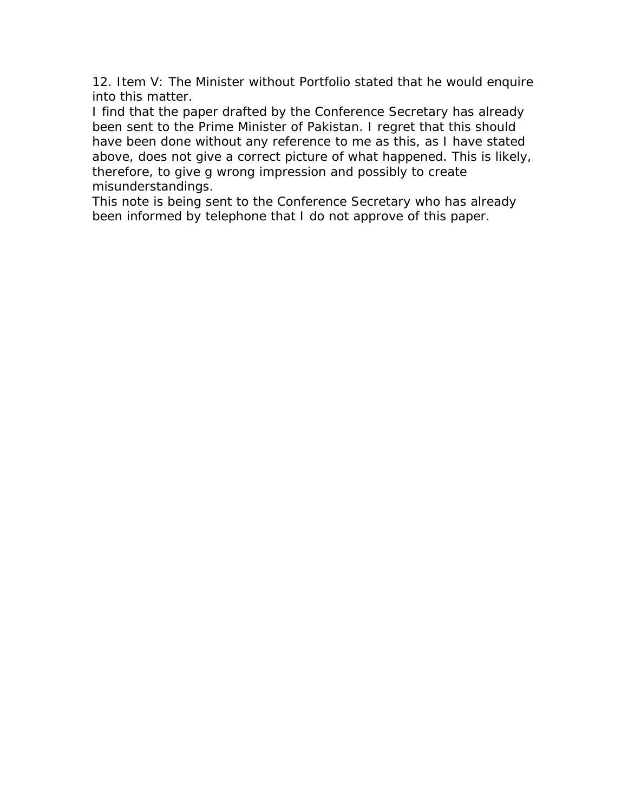12. Item V: The Minister without Portfolio stated that he would enquire into this matter.

I find that the paper drafted by the Conference Secretary has already been sent to the Prime Minister of Pakistan. I regret that this should have been done without any reference to me as this, as I have stated above, does not give a correct picture of what happened. This is likely, therefore, to give g wrong impression and possibly to create misunderstandings.

This note is being sent to the Conference Secretary who has already been informed by telephone that I do not approve of this paper.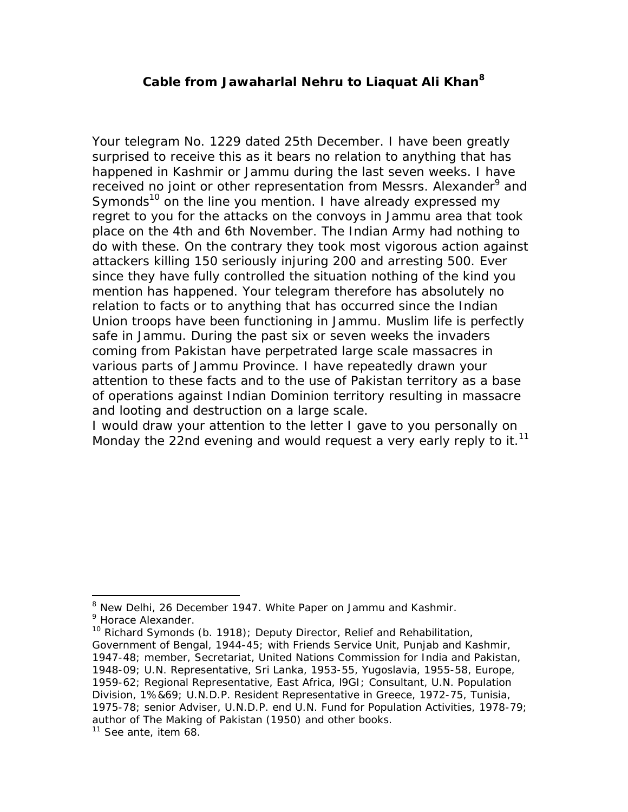#### **Cable from Jawaharlal Nehru to Liaquat Ali Khan<sup>8</sup>**

Your telegram No. 1229 dated 25th December. I have been greatly surprised to receive this as it bears no relation to anything that has happened in Kashmir or Jammu during the last seven weeks. I have received no joint or other representation from Messrs. Alexander<sup>9</sup> and Symonds<sup>10</sup> on the line you mention. I have already expressed my regret to you for the attacks on the convoys in Jammu area that took place on the 4th and 6th November. The Indian Army had nothing to do with these. On the contrary they took most vigorous action against attackers killing 150 seriously injuring 200 and arresting 500. Ever since they have fully controlled the situation nothing of the kind you mention has happened. Your telegram therefore has absolutely no relation to facts or to anything that has occurred since the Indian Union troops have been functioning in Jammu. Muslim life is perfectly safe in Jammu. During the past six or seven weeks the invaders coming from Pakistan have perpetrated large scale massacres in various parts of Jammu Province. I have repeatedly drawn your attention to these facts and to the use of Pakistan territory as a base of operations against Indian Dominion territory resulting in massacre and looting and destruction on a large scale.

I would draw your attention to the letter I gave to you personally on Monday the 22nd evening and would request a very early reply to it.<sup>11</sup>

1

<sup>&</sup>lt;sup>8</sup> New Delhi, 26 December 1947. White Paper on Jammu and Kashmir.

<sup>&</sup>lt;sup>9</sup> Horace Alexander.

 $10$  Richard Symonds (b. 1918); Deputy Director, Relief and Rehabilitation, Government of Bengal, 1944-45; with Friends Service Unit, Punjab and Kashmir, 1947-48; member, Secretariat, United Nations Commission for India and Pakistan, 1948-09; U.N. Representative, Sri Lanka, 1953-55, Yugoslavia, 1955-58, Europe, 1959-62; Regional Representative, East Africa, l9GI; Consultant, U.N. Population Division, 1%&69; U.N.D.P. Resident Representative in Greece, 1972-75, Tunisia, 1975-78; senior Adviser, U.N.D.P. end U.N. Fund for Population Activities, 1978-79; author of The Making of Pakistan (1950) and other books.

 $11$  See ante, item 68.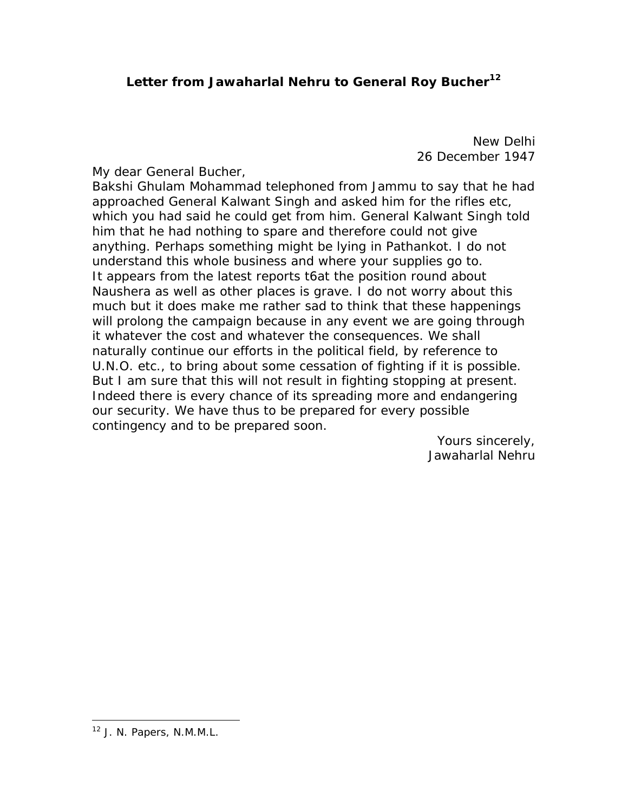# Letter from Jawaharlal Nehru to General Roy Bucher<sup>12</sup>

New Delhi 26 December 1947

My dear General Bucher,

Bakshi Ghulam Mohammad telephoned from Jammu to say that he had approached General Kalwant Singh and asked him for the rifles etc, which you had said he could get from him. General Kalwant Singh told him that he had nothing to spare and therefore could not give anything. Perhaps something might be lying in Pathankot. I do not understand this whole business and where your supplies go to. It appears from the latest reports t6at the position round about Naushera as well as other places is grave. I do not worry about this much but it does make me rather sad to think that these happenings will prolong the campaign because in any event we are going through it whatever the cost and whatever the consequences. We shall naturally continue our efforts in the political field, by reference to U.N.O. etc., to bring about some cessation of fighting if it is possible. But I am sure that this will not result in fighting stopping at present. Indeed there is every chance of its spreading more and endangering our security. We have thus to be prepared for every possible contingency and to be prepared soon.

> Yours sincerely, Jawaharlal Nehru

<sup>12</sup> J. N. Papers, N.M.M.L.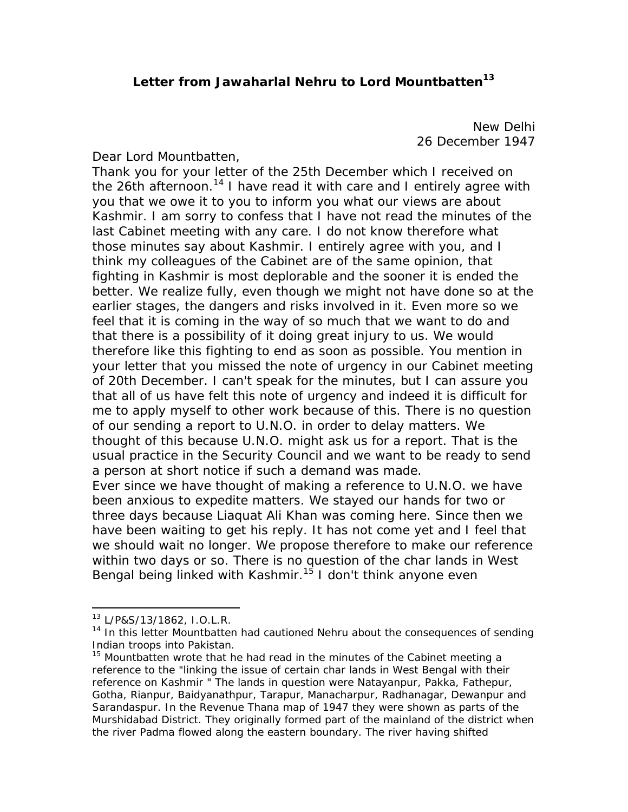## Letter from Jawaharlal Nehru to Lord Mountbatten<sup>13</sup>

New Delhi 26 December 1947

Dear Lord Mountbatten,

Thank you for your letter of the 25th December which I received on the 26th afternoon.<sup>14</sup> I have read it with care and I entirely agree with you that we owe it to you to inform you what our views are about Kashmir. I am sorry to confess that I have not read the minutes of the last Cabinet meeting with any care. I do not know therefore what those minutes say about Kashmir. I entirely agree with you, and I think my colleagues of the Cabinet are of the same opinion, that fighting in Kashmir is most deplorable and the sooner it is ended the better. We realize fully, even though we might not have done so at the earlier stages, the dangers and risks involved in it. Even more so we feel that it is coming in the way of so much that we want to do and that there is a possibility of it doing great injury to us. We would therefore like this fighting to end as soon as possible. You mention in your letter that you missed the note of urgency in our Cabinet meeting of 20th December. I can't speak for the minutes, but I can assure you that all of us have felt this note of urgency and indeed it is difficult for me to apply myself to other work because of this. There is no question of our sending a report to U.N.O. in order to delay matters. We thought of this because U.N.O. might ask us for a report. That is the usual practice in the Security Council and we want to be ready to send a person at short notice if such a demand was made. Ever since we have thought of making a reference to U.N.O. we have been anxious to expedite matters. We stayed our hands for two or three days because Liaquat Ali Khan was coming here. Since then we have been waiting to get his reply. It has not come yet and I feel that we should wait no longer. We propose therefore to make our reference within two days or so. There is no question of the *char* lands in West Bengal being linked with Kashmir.<sup>15</sup> I don't think anyone even

<sup>13</sup> L/P&S/13/1862, I.O.L.R.

<sup>&</sup>lt;sup>14</sup> In this letter Mountbatten had cautioned Nehru about the consequences of sending Indian troops into Pakistan.

 $15$  Mountbatten wrote that he had read in the minutes of the Cabinet meeting a reference to the "linking the issue of certain *char* lands in West Bengal with their reference on Kashmir " The lands in question were Natayanpur, Pakka, Fathepur, Gotha, Rianpur, Baidyanathpur, Tarapur, Manacharpur, Radhanagar, Dewanpur and Sarandaspur. In the Revenue Thana map of 1947 they were shown as parts of the Murshidabad District. They originally formed part of the mainland of the district when the river Padma flowed along the eastern boundary. The river having shifted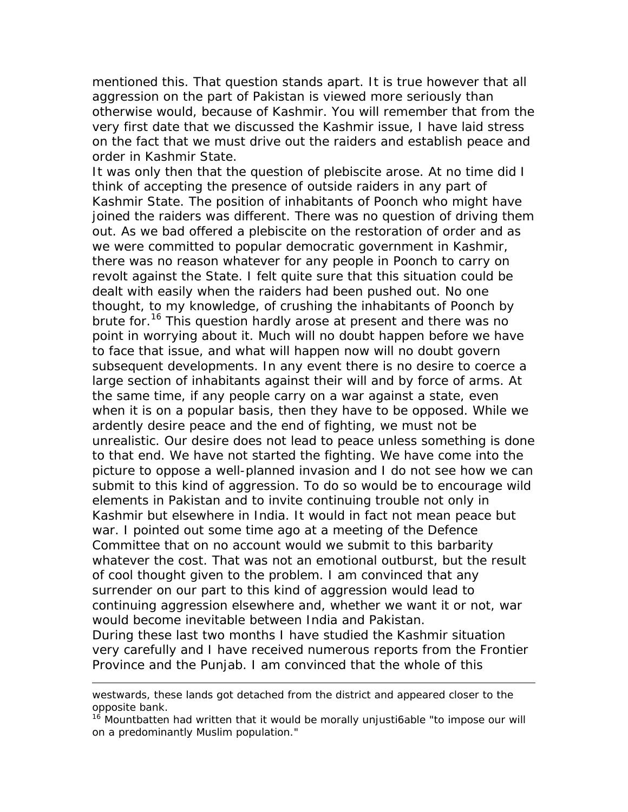mentioned this. That question stands apart. It is true however that all aggression on the part of Pakistan is viewed more seriously than otherwise would, because of Kashmir. You will remember that from the very first date that we discussed the Kashmir issue, I have laid stress on the fact that we must drive out the raiders and establish peace and order in Kashmir State.

It was only then that the question of plebiscite arose. At no time did I think of accepting the presence of outside raiders in any part of Kashmir State. The position of inhabitants of Poonch who might have joined the raiders was different. There was no question of driving them out. As we bad offered a plebiscite on the restoration of order and as we were committed to popular democratic government in Kashmir, there was no reason whatever for any people in Poonch to carry on revolt against the State. I felt quite sure that this situation could be dealt with easily when the raiders had been pushed out. No one thought, to my knowledge, of crushing the inhabitants of Poonch by brute for.<sup>16</sup> This question hardly arose at present and there was no point in worrying about it. Much will no doubt happen before we have to face that issue, and what will happen now will no doubt govern subsequent developments. In any event there is no desire to coerce a large section of inhabitants against their will and by force of arms. At the same time, if any people carry on a war against a state, even when it is on a popular basis, then they have to be opposed. While we ardently desire peace and the end of fighting, we must not be unrealistic. Our desire does not lead to peace unless something is done to that end. We have not started the fighting. We have come into the picture to oppose a well-planned invasion and I do not see how we can submit to this kind of aggression. To do so would be to encourage wild elements in Pakistan and to invite continuing trouble not only in Kashmir but elsewhere in India. It would in fact not mean peace but war. I pointed out some time ago at a meeting of the Defence Committee that on no account would we submit to this barbarity whatever the cost. That was not an emotional outburst, but the result of cool thought given to the problem. I am convinced that any surrender on our part to this kind of aggression would lead to continuing aggression elsewhere and, whether we want it or not, war would become inevitable between India and Pakistan. During these last two months I have studied the Kashmir situation very carefully and I have received numerous reports from the Frontier Province and the Punjab. I am convinced that the whole of this

westwards, these lands got detached from the district and appeared closer to the opposite bank.

 $16$  Mountbatten had written that it would be morally unjusti6able "to impose our will on a predominantly Muslim population."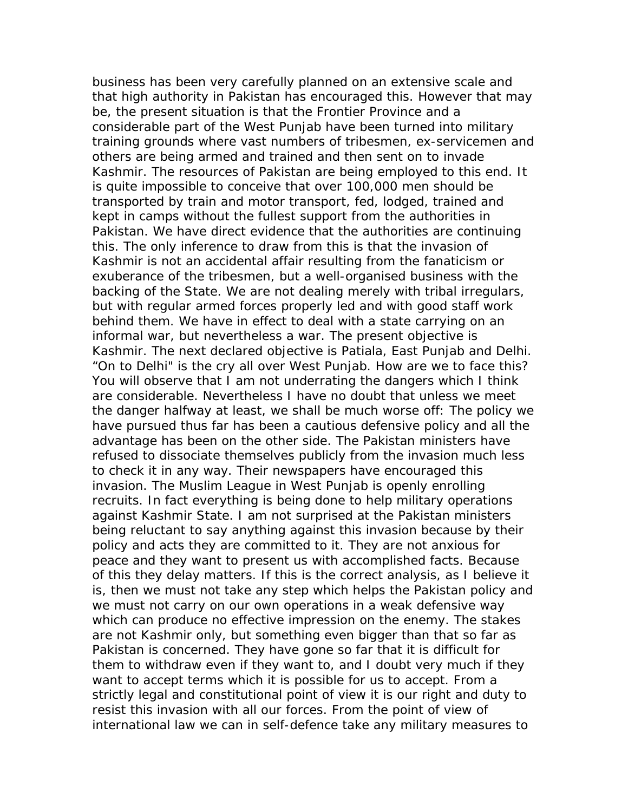business has been very carefully planned on an extensive scale and that high authority in Pakistan has encouraged this. However that may be, the present situation is that the Frontier Province and a considerable part of the West Punjab have been turned into military training grounds where vast numbers of tribesmen, ex-servicemen and others are being armed and trained and then sent on to invade Kashmir. The resources of Pakistan are being employed to this end. It is quite impossible to conceive that over 100,000 men should be transported by train and motor transport, fed, lodged, trained and kept in camps without the fullest support from the authorities in Pakistan. We have direct evidence that the authorities are continuing this. The only inference to draw from this is that the invasion of Kashmir is not an accidental affair resulting from the fanaticism or exuberance of the tribesmen, but a well-organised business with the backing of the State. We are not dealing merely with tribal irregulars, but with regular armed forces properly led and with good staff work behind them. We have in effect to deal with a state carrying on an informal war, but nevertheless a war. The present objective is Kashmir. The next declared objective is Patiala, East Punjab and Delhi. "On to Delhi" is the cry all over West Punjab. How are we to face this? You will observe that I am not underrating the dangers which I think are considerable. Nevertheless I have no doubt that unless we meet the danger halfway at least, we shall be much worse off: The policy we have pursued thus far has been a cautious defensive policy and all the advantage has been on the other side. The Pakistan ministers have refused to dissociate themselves publicly from the invasion much less to check it in any way. Their newspapers have encouraged this invasion. The Muslim League in West Punjab is openly enrolling recruits. In fact everything is being done to help military operations against Kashmir State. I am not surprised at the Pakistan ministers being reluctant to say anything against this invasion because by their policy and acts they are committed to it. They are not anxious for peace and they want to present us with accomplished facts. Because of this they delay matters. If this is the correct analysis, as I believe it is, then we must not take any step which helps the Pakistan policy and we must not carry on our own operations in a weak defensive way which can produce no effective impression on the enemy. The stakes are not Kashmir only, but something even bigger than that so far as Pakistan is concerned. They have gone so far that it is difficult for them to withdraw even if they want to, and I doubt very much if they want to accept terms which it is possible for us to accept. From a strictly legal and constitutional point of view it is our right and duty to resist this invasion with all our forces. From the point of view of international law we can in self-defence take any military measures to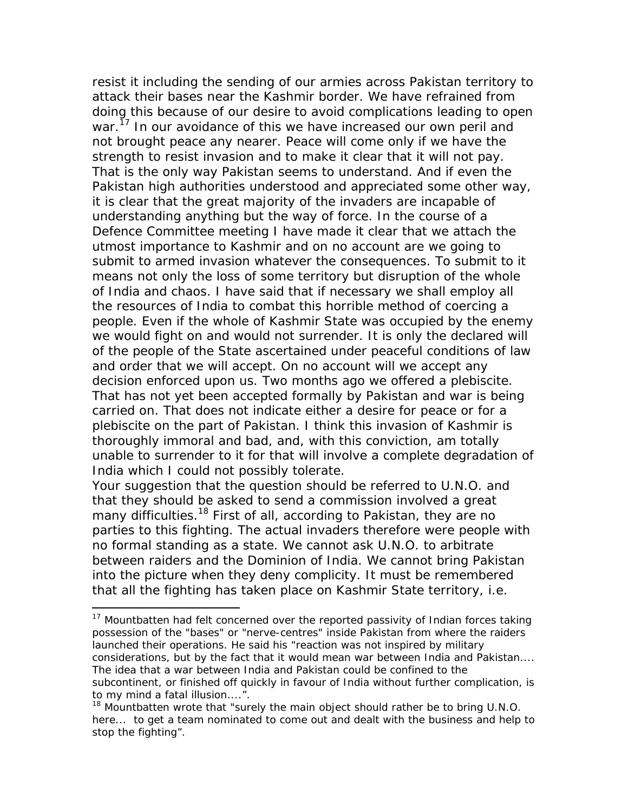resist it including the sending of our armies across Pakistan territory to attack their bases near the Kashmir border. We have refrained from doing this because of our desire to avoid complications leading to open war.<sup>17</sup> In our avoidance of this we have increased our own peril and not brought peace any nearer. Peace will come only if we have the strength to resist invasion and to make it clear that it will not pay. That is the only way Pakistan seems to understand. And if even the Pakistan high authorities understood and appreciated some other way, it is clear that the great majority of the invaders are incapable of understanding anything but the way of force. In the course of a Defence Committee meeting I have made it clear that we attach the utmost importance to Kashmir and on no account are we going to submit to armed invasion whatever the consequences. To submit to it means not only the loss of some territory but disruption of the whole of India and chaos. I have said that if necessary we shall employ all the resources of India to combat this horrible method of coercing a people. Even if the whole of Kashmir State was occupied by the enemy we would fight on and would not surrender. It is only the declared will of the people of the State ascertained under peaceful conditions of law and order that we will accept. On no account will we accept any decision enforced upon us. Two months ago we offered a plebiscite. That has not yet been accepted formally by Pakistan and war is being carried on. That does not indicate either a desire for peace or for a plebiscite on the part of Pakistan. I think this invasion of Kashmir is thoroughly immoral and bad, and, with this conviction, am totally unable to surrender to it for that will involve a complete degradation of India which I could not possibly tolerate.

Your suggestion that the question should be referred to U.N.O. and that they should be asked to send a commission involved a great many difficulties.<sup>18</sup> First of all, according to Pakistan, they are no parties to this fighting. The actual invaders therefore were people with no formal standing as a state. We cannot ask U.N.O. to arbitrate between raiders and the Dominion of India. We cannot bring Pakistan into the picture when they deny complicity. It must be remembered that all the fighting has taken place on Kashmir State territory, i.e.

 $17$  Mountbatten had felt concerned over the reported passivity of Indian forces taking possession of the "bases" or "nerve-centres" inside Pakistan from where the raiders launched their operations. He said his "reaction was not inspired by military considerations, but by the fact that it would mean war between India and Pakistan.... The idea that a war between India and Pakistan could be confined to the subcontinent, or finished off quickly in favour of India without further complication, is to my mind a fatal illusion....".

<sup>&</sup>lt;sup>18</sup> Mountbatten wrote that "surely the main object should rather be to bring  $U.N.O.$ here... to get a team nominated to come out and dealt with the business and help to stop the fighting".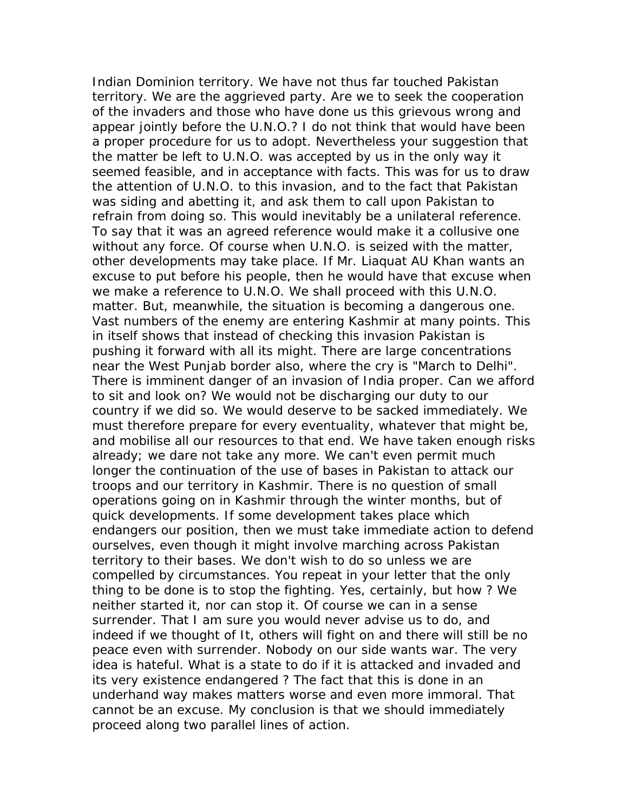Indian Dominion territory. We have not thus far touched Pakistan territory. We are the aggrieved party. Are we to seek the cooperation of the invaders and those who have done us this grievous wrong and appear jointly before the U.N.O.? I do not think that would have been a proper procedure for us to adopt. Nevertheless your suggestion that the matter be left to U.N.O. was accepted by us in the only way it seemed feasible, and in acceptance with facts. This was for us to draw the attention of U.N.O. to this invasion, and to the fact that Pakistan was siding and abetting it, and ask them to call upon Pakistan to refrain from doing so. This would inevitably be a unilateral reference. To say that it was an agreed reference would make it a collusive one without any force. Of course when U.N.O. is seized with the matter, other developments may take place. If Mr. Liaquat AU Khan wants an excuse to put before his people, then he would have that excuse when we make a reference to U.N.O. We shall proceed with this U.N.O. matter. But, meanwhile, the situation is becoming a dangerous one. Vast numbers of the enemy are entering Kashmir at many points. This in itself shows that instead of checking this invasion Pakistan is pushing it forward with all its might. There are large concentrations near the West Punjab border also, where the cry is "March to Delhi". There is imminent danger of an invasion of India proper. Can we afford to sit and look on? We would not be discharging our duty to our country if we did so. We would deserve to be sacked immediately. We must therefore prepare for every eventuality, whatever that might be, and mobilise all our resources to that end. We have taken enough risks already; we dare not take any more. We can't even permit much longer the continuation of the use of bases in Pakistan to attack our troops and our territory in Kashmir. There is no question of small operations going on in Kashmir through the winter months, but of quick developments. If some development takes place which endangers our position, then we must take immediate action to defend ourselves, even though it might involve marching across Pakistan territory to their bases. We don't wish to do so unless we are compelled by circumstances. You repeat in your letter that the only thing to be done is to stop the fighting. Yes, certainly, but how ? We neither started it, nor can stop it. Of course we can in a sense surrender. That I am sure you would never advise us to do, and indeed if we thought of It, others will fight on and there will still be no peace even with surrender. Nobody on our side wants war. The very idea is hateful. What is a state to do if it is attacked and invaded and its very existence endangered ? The fact that this is done in an underhand way makes matters worse and even more immoral. That cannot be an excuse. My conclusion is that we should immediately proceed along two parallel lines of action.